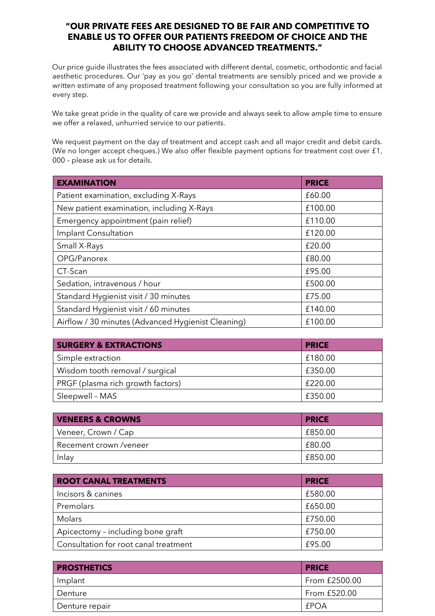## **"OUR PRIVATE FEES ARE DESIGNED TO BE FAIR AND COMPETITIVE TO ENABLE US TO OFFER OUR PATIENTS FREEDOM OF CHOICE AND THE ABILITY TO CHOOSE ADVANCED TREATMENTS."**

Our price guide illustrates the fees associated with different dental, cosmetic, orthodontic and facial aesthetic procedures. Our 'pay as you go' dental treatments are sensibly priced and we provide a written estimate of any proposed treatment following your consultation so you are fully informed at every step.

We take great pride in the quality of care we provide and always seek to allow ample time to ensure we offer a relaxed, unhurried service to our patients.

We request payment on the day of treatment and accept cash and all major credit and debit cards. (We no longer accept cheques.) We also offer flexible payment options for treatment cost over £1, 000 – please ask us for details.

| <b>EXAMINATION</b>                                 | <b>PRICE</b> |
|----------------------------------------------------|--------------|
| Patient examination, excluding X-Rays              | £60.00       |
| New patient examination, including X-Rays          | £100.00      |
| Emergency appointment (pain relief)                | £110.00      |
| Implant Consultation                               | £120.00      |
| Small X-Rays                                       | £20.00       |
| OPG/Panorex                                        | £80.00       |
| CT-Scan                                            | £95.00       |
| Sedation, intravenous / hour                       | £500.00      |
| Standard Hygienist visit / 30 minutes              | £75.00       |
| Standard Hygienist visit / 60 minutes              | £140.00      |
| Airflow / 30 minutes (Advanced Hygienist Cleaning) | £100.00      |

| <b>SURGERY &amp; EXTRACTIONS</b>  | <b>PRICE</b> |
|-----------------------------------|--------------|
| Simple extraction                 | £180.00      |
| Wisdom tooth removal / surgical   | £350.00      |
| PRGF (plasma rich growth factors) | £220.00      |
| Sleepwell - MAS                   | £350.00      |

| <b>VENEERS &amp; CROWNS</b> | <b>PRICE</b> |
|-----------------------------|--------------|
| Veneer, Crown / Cap         | £850.00      |
| Recement crown /veneer      | £80.00       |
| Inlay                       | £850.00      |

| <b>ROOT CANAL TREATMENTS</b>          | <b>PRICE</b> |
|---------------------------------------|--------------|
| Incisors & canines                    | £580.00      |
| Premolars                             | £650.00      |
| Molars                                | £750.00      |
| Apicectomy - including bone graft     | £750.00      |
| Consultation for root canal treatment | £95.00       |

| <b>PROSTHETICS</b> | <b>PRICE</b>  |
|--------------------|---------------|
| Implant            | From £2500.00 |
| Denture            | From £520.00  |
| Denture repair     | <b>EPOA</b>   |